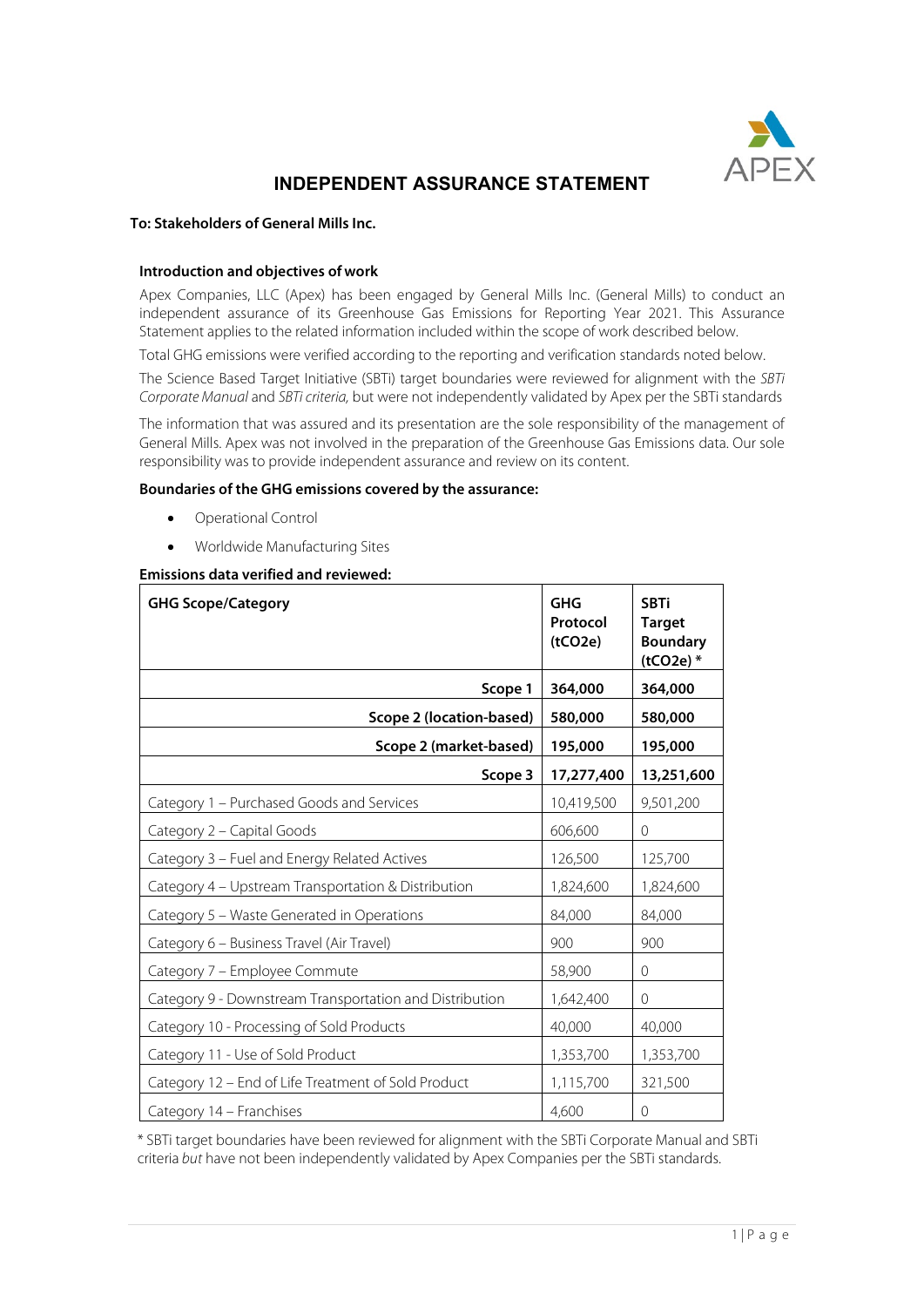

# **INDEPENDENT ASSURANCE STATEMENT**

# **To: Stakeholders of General Mills Inc.**

## **Introduction and objectives of work**

Apex Companies, LLC (Apex) has been engaged by General Mills Inc. (General Mills) to conduct an independent assurance of its Greenhouse Gas Emissions for Reporting Year 2021. This Assurance Statement applies to the related information included within the scope of work described below.

Total GHG emissions were verified according to the reporting and verification standards noted below.

The Science Based Target Initiative (SBTi) target boundaries were reviewed for alignment with the *SBTi Corporate Manual* and *SBTi criteria,* but were not independently validated by Apex per the SBTi standards

The information that was assured and its presentation are the sole responsibility of the management of General Mills. Apex was not involved in the preparation of the Greenhouse Gas Emissions data. Our sole responsibility was to provide independent assurance and review on its content.

# **Boundaries of the GHG emissions covered by the assurance:**

- Operational Control
- Worldwide Manufacturing Sites

## **Emissions data verified and reviewed:**

| <b>GHG Scope/Category</b>                               | <b>GHG</b><br>Protocol<br>(tCO2e) | <b>SBTi</b><br><b>Target</b><br><b>Boundary</b><br>$(tCO2e)$ * |
|---------------------------------------------------------|-----------------------------------|----------------------------------------------------------------|
| Scope 1                                                 | 364,000                           | 364,000                                                        |
| Scope 2 (location-based)                                | 580,000                           | 580,000                                                        |
| Scope 2 (market-based)                                  | 195,000                           | 195,000                                                        |
| Scope 3                                                 | 17,277,400                        | 13,251,600                                                     |
| Category 1 - Purchased Goods and Services               | 10,419,500                        | 9,501,200                                                      |
| Category 2 - Capital Goods                              | 606,600                           | 0                                                              |
| Category 3 - Fuel and Energy Related Actives            | 126,500                           | 125,700                                                        |
| Category 4 - Upstream Transportation & Distribution     | 1,824,600                         | 1,824,600                                                      |
| Category 5 - Waste Generated in Operations              | 84,000                            | 84,000                                                         |
| Category 6 - Business Travel (Air Travel)               | 900                               | 900                                                            |
| Category 7 - Employee Commute                           | 58,900                            | 0                                                              |
| Category 9 - Downstream Transportation and Distribution | 1,642,400                         | 0                                                              |
| Category 10 - Processing of Sold Products               | 40,000                            | 40,000                                                         |
| Category 11 - Use of Sold Product                       | 1,353,700                         | 1,353,700                                                      |
| Category 12 - End of Life Treatment of Sold Product     | 1,115,700                         | 321,500                                                        |
| Category 14 – Franchises                                | 4,600                             | 0                                                              |

\* SBTi target boundaries have been reviewed for alignment with the SBTi Corporate Manual and SBTi criteria *but* have not been independently validated by Apex Companies per the SBTi standards.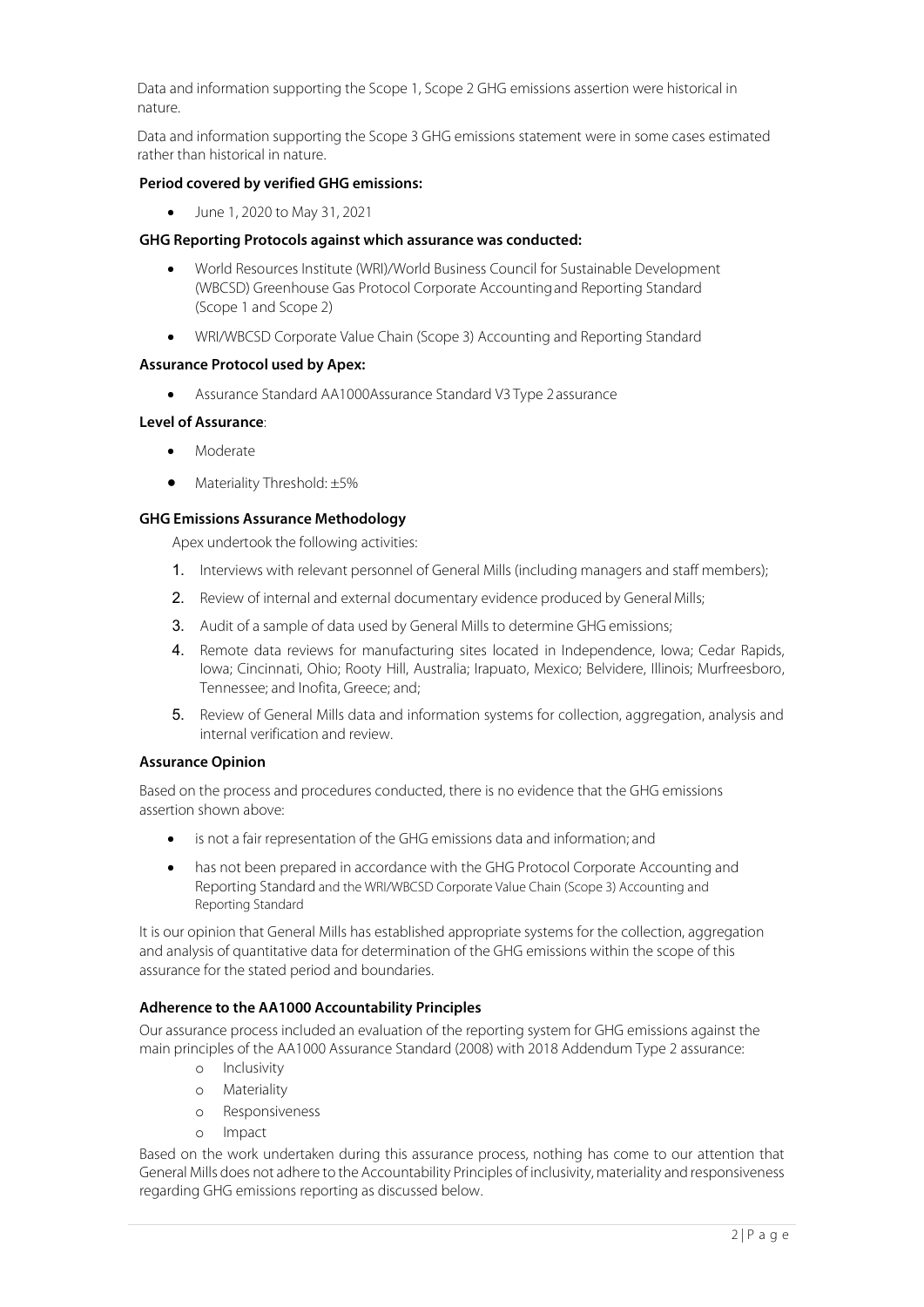Data and information supporting the Scope 1, Scope 2 GHG emissions assertion were historical in nature.

Data and information supporting the Scope 3 GHG emissions statement were in some cases estimated rather than historical in nature.

#### **Period covered by verified GHG emissions:**

• June 1, 2020 to May 31, 2021

#### **GHG Reporting Protocols against which assurance was conducted:**

- World Resources Institute (WRI)/World Business Council for Sustainable Development (WBCSD) Greenhouse Gas Protocol Corporate Accountingand Reporting Standard (Scope 1 and Scope 2)
- WRI/WBCSD Corporate Value Chain (Scope 3) Accounting and Reporting Standard

#### **Assurance Protocol used by Apex:**

• Assurance Standard AA1000Assurance Standard V3 Type 2assurance

#### **Level of Assurance**:

- Moderate
- Materiality Threshold: ±5%

## **GHG Emissions Assurance Methodology**

Apex undertook the following activities:

- 1. Interviews with relevant personnel of General Mills (including managers and staff members);
- 2. Review of internal and external documentary evidence produced by General Mills;
- 3. Audit of a sample of data used by General Mills to determine GHG emissions;
- 4. Remote data reviews for manufacturing sites located in Independence, Iowa; Cedar Rapids, Iowa; Cincinnati, Ohio; Rooty Hill, Australia; Irapuato, Mexico; Belvidere, Illinois; Murfreesboro, Tennessee; and Inofita, Greece; and;
- 5. Review of General Mills data and information systems for collection, aggregation, analysis and internal verification and review.

## **Assurance Opinion**

Based on the process and procedures conducted, there is no evidence that the GHG emissions assertion shown above:

- is not a fair representation of the GHG emissions data and information; and
- has not been prepared in accordance with the GHG Protocol Corporate Accounting and Reporting Standard and the WRI/WBCSD Corporate Value Chain (Scope 3) Accounting and Reporting Standard

It is our opinion that General Mills has established appropriate systems for the collection, aggregation and analysis of quantitative data for determination of the GHG emissions within the scope of this assurance for the stated period and boundaries.

#### **Adherence to the AA1000 Accountability Principles**

Our assurance process included an evaluation of the reporting system for GHG emissions against the main principles of the AA1000 Assurance Standard (2008) with 2018 Addendum Type 2 assurance:

- o Inclusivity
- o Materiality
- o Responsiveness
- o Impact

Based on the work undertaken during this assurance process, nothing has come to our attention that General Mills does not adhere to the Accountability Principles of inclusivity, materiality and responsiveness regarding GHG emissions reporting as discussed below.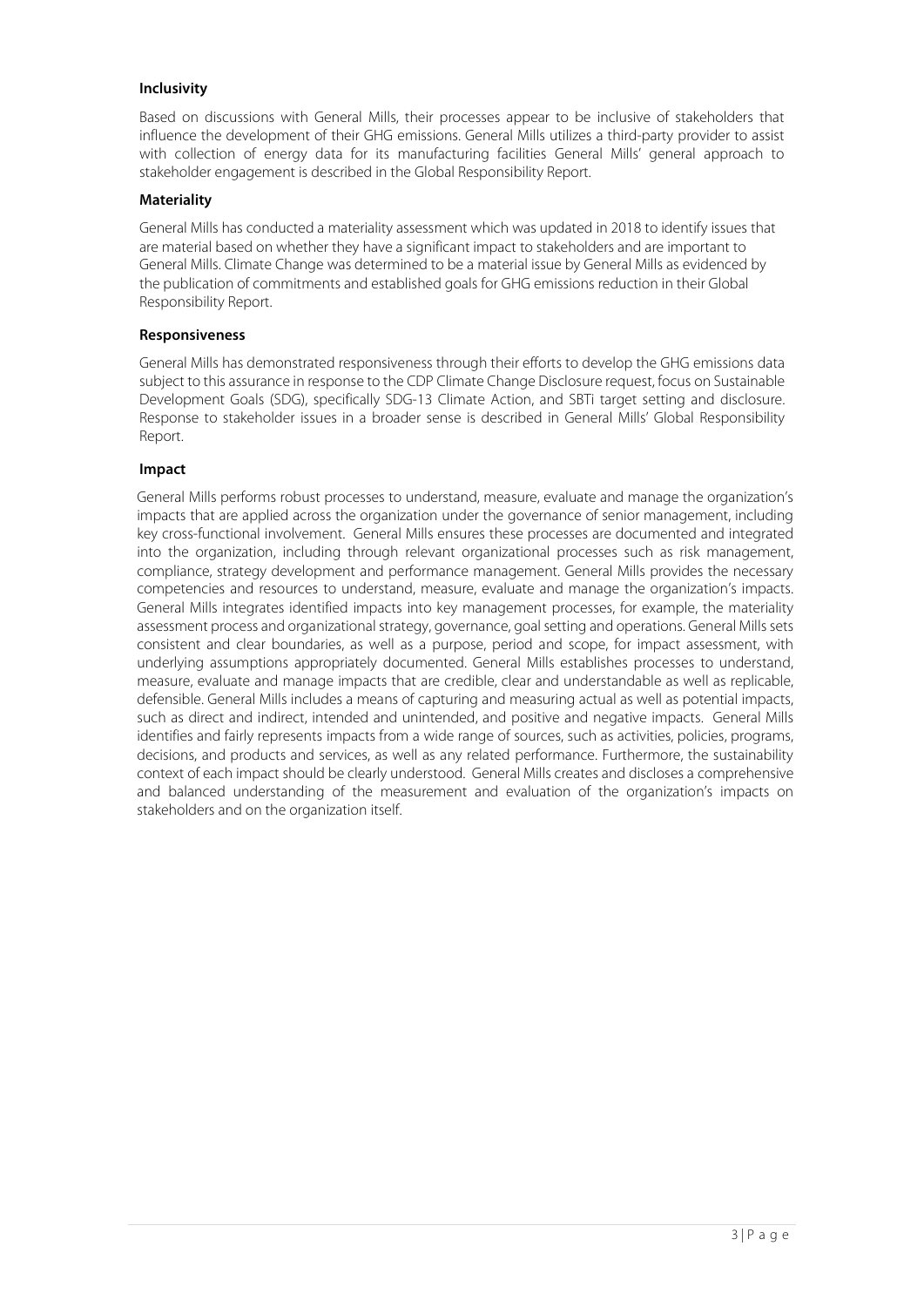## **Inclusivity**

Based on discussions with General Mills, their processes appear to be inclusive of stakeholders that influence the development of their GHG emissions. General Mills utilizes a third-party provider to assist with collection of energy data for its manufacturing facilities General Mills' general approach to stakeholder engagement is described in the Global Responsibility Report.

## **Materiality**

General Mills has conducted a materiality assessment which was updated in 2018 to identify issues that are material based on whether they have a significant impact to stakeholders and are important to General Mills. Climate Change was determined to be a material issue by General Mills as evidenced by the publication of commitments and established goals for GHG emissions reduction in their Global Responsibility Report.

## **Responsiveness**

General Mills has demonstrated responsiveness through their efforts to develop the GHG emissions data subject to this assurance in response to the CDP Climate Change Disclosure request, focus on Sustainable Development Goals (SDG), specifically SDG-13 Climate Action, and SBTi target setting and disclosure. Response to stakeholder issues in a broader sense is described in General Mills' Global Responsibility Report.

## **Impact**

General Mills performs robust processes to understand, measure, evaluate and manage the organization's impacts that are applied across the organization under the governance of senior management, including key cross-functional involvement. General Mills ensures these processes are documented and integrated into the organization, including through relevant organizational processes such as risk management, compliance, strategy development and performance management. General Mills provides the necessary competencies and resources to understand, measure, evaluate and manage the organization's impacts. General Mills integrates identified impacts into key management processes, for example, the materiality assessment process and organizational strategy, governance, goal setting and operations. General Mills sets consistent and clear boundaries, as well as a purpose, period and scope, for impact assessment, with underlying assumptions appropriately documented. General Mills establishes processes to understand, measure, evaluate and manage impacts that are credible, clear and understandable as well as replicable, defensible. General Mills includes a means of capturing and measuring actual as well as potential impacts, such as direct and indirect, intended and unintended, and positive and negative impacts. General Mills identifies and fairly represents impacts from a wide range of sources, such as activities, policies, programs, decisions, and products and services, as well as any related performance. Furthermore, the sustainability context of each impact should be clearly understood. General Mills creates and discloses a comprehensive and balanced understanding of the measurement and evaluation of the organization's impacts on stakeholders and on the organization itself.